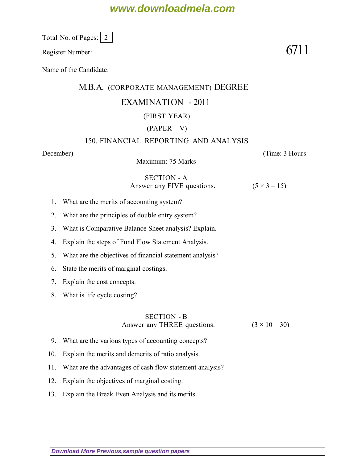## **www.downloadmela.com**

Total No. of Pages: 2

Register Number:  $6711$ 

Name of the Candidate:

### M.B.A. (CORPORATE MANAGEMENT) DEGREE

### EXAMINATION - 2011

### (FIRST YEAR)

### $(PAPER - V)$

#### 150. FINANCIAL REPORTING AND ANALYSIS

*December*) (*Time: 3 Hours*

Maximum: 75 Marks

#### SECTION - A Answer any FIVE questions.  $(5 \times 3 = 15)$

- 1. What are the merits of accounting system?
- 2. What are the principles of double entry system?
- 3. What is Comparative Balance Sheet analysis? Explain.
- 4. Explain the steps of Fund Flow Statement Analysis.
- 5. What are the objectives of financial statement analysis?
- 6. State the merits of marginal costings.
- 7. Explain the cost concepts.
- 8. What is life cycle costing?

## SECTION - B

Answer any THREE questions.  $(3 \times 10 = 30)$ 

- 9. What are the various types of accounting concepts?
- 10. Explain the merits and demerits of ratio analysis.
- 11. What are the advantages of cash flow statement analysis?
- 12. Explain the objectives of marginal costing.
- 13. Explain the Break Even Analysis and its merits.